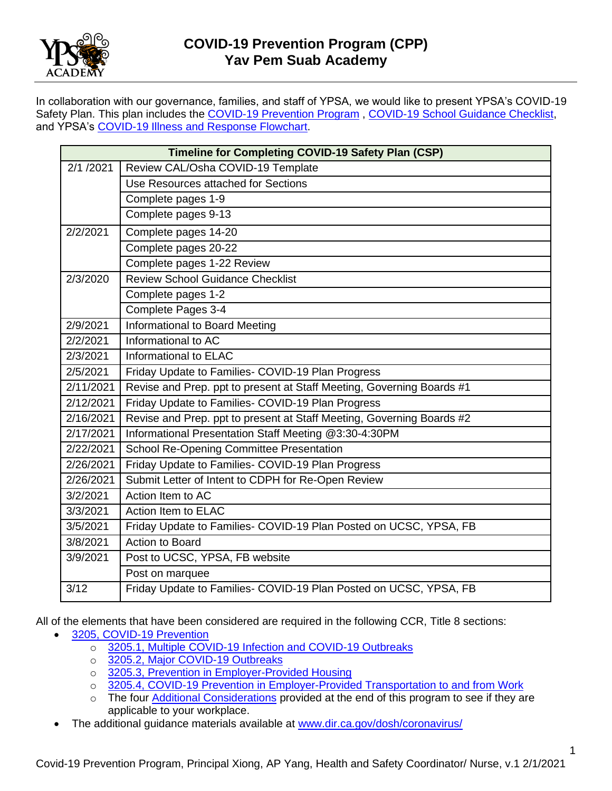

In collaboration with our governance, families, and staff of YPSA, we would like to present YPSA's COVID-19 Safety Plan. This plan includes the [COVID-19 Prevention Program](Osha%20COVID-19%20Prevention%20Plan%20v.2.docx), [COVID-19 School Guidance Checklist,](COVID-19%20School%20Guidance%20Checklist.pdf) and YPSA's [COVID-19 Illness and Response Flowchart.](../COVID-19%20Illness%20and%20Exposure%20Response%20Flowchart.docx)

|           | Timeline for Completing COVID-19 Safety Plan (CSP)                    |
|-----------|-----------------------------------------------------------------------|
| 2/1 /2021 | Review CAL/Osha COVID-19 Template                                     |
|           | Use Resources attached for Sections                                   |
|           | Complete pages 1-9                                                    |
|           | Complete pages 9-13                                                   |
| 2/2/2021  | Complete pages 14-20                                                  |
|           | Complete pages 20-22                                                  |
|           | Complete pages 1-22 Review                                            |
| 2/3/2020  | <b>Review School Guidance Checklist</b>                               |
|           | Complete pages 1-2                                                    |
|           | Complete Pages 3-4                                                    |
| 2/9/2021  | Informational to Board Meeting                                        |
| 2/2/2021  | Informational to AC                                                   |
| 2/3/2021  | Informational to ELAC                                                 |
| 2/5/2021  | Friday Update to Families- COVID-19 Plan Progress                     |
| 2/11/2021 | Revise and Prep. ppt to present at Staff Meeting, Governing Boards #1 |
| 2/12/2021 | Friday Update to Families- COVID-19 Plan Progress                     |
| 2/16/2021 | Revise and Prep. ppt to present at Staff Meeting, Governing Boards #2 |
| 2/17/2021 | Informational Presentation Staff Meeting @3:30-4:30PM                 |
| 2/22/2021 | <b>School Re-Opening Committee Presentation</b>                       |
| 2/26/2021 | Friday Update to Families- COVID-19 Plan Progress                     |
| 2/26/2021 | Submit Letter of Intent to CDPH for Re-Open Review                    |
| 3/2/2021  | Action Item to AC                                                     |
| 3/3/2021  | Action Item to ELAC                                                   |
| 3/5/2021  | Friday Update to Families- COVID-19 Plan Posted on UCSC, YPSA, FB     |
| 3/8/2021  | <b>Action to Board</b>                                                |
| 3/9/2021  | Post to UCSC, YPSA, FB website                                        |
|           | Post on marquee                                                       |
| 3/12      | Friday Update to Families- COVID-19 Plan Posted on UCSC, YPSA, FB     |

All of the elements that have been considered are required in the following CCR, Title 8 sections:

- [3205, COVID-19 Prevention](https://www.dir.ca.gov/title8/3205.html)
	- o 3205.1, Multiple [COVID-19 Infection and COVID-19 Outbreaks](https://www.dir.ca.gov/title8/3205_1.html)
	- o [3205.2, Major COVID-19 Outbreaks](https://www.dir.ca.gov/title8/3205_2.html)
	- o [3205.3, Prevention in Employer-Provided Housing](https://www.dir.ca.gov/title8/3205_3.html)
	- o [3205.4, COVID-19 Prevention in Employer-Provided Transportation to and from Work](https://www.dir.ca.gov/title8/3205_4.html)
	- o The four [Additional Considerations](#page-16-0) provided at the end of this program to see if they are applicable to your workplace.
	- The additional guidance materials available at [www.dir.ca.gov/dosh/coronavirus/](file:///F:/emergency%20covid%20standard/www.dir.ca.gov/dosh/coronavirus/)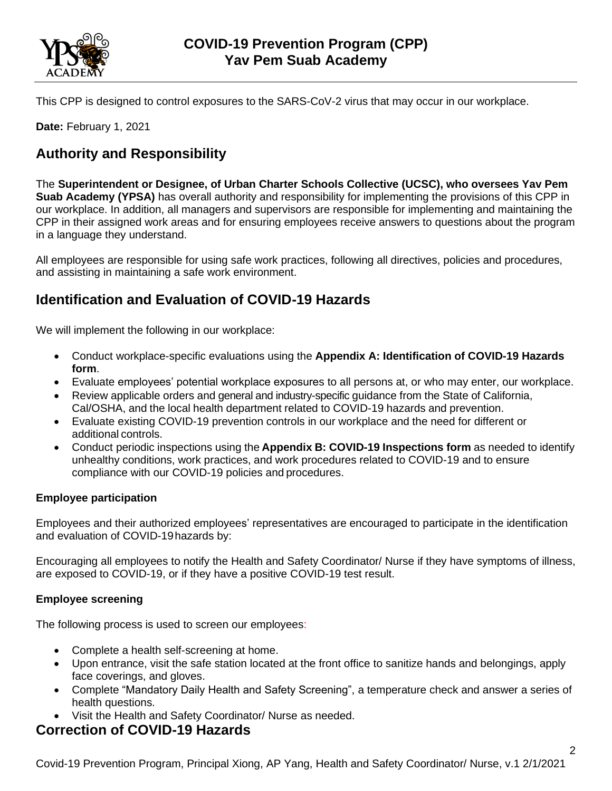

This CPP is designed to control exposures to the SARS-CoV-2 virus that may occur in our workplace.

**Date:** February 1, 2021

# **Authority and Responsibility**

The **Superintendent or Designee, of Urban Charter Schools Collective (UCSC), who oversees Yav Pem Suab Academy (YPSA)** has overall authority and responsibility for implementing the provisions of this CPP in our workplace. In addition, all managers and supervisors are responsible for implementing and maintaining the CPP in their assigned work areas and for ensuring employees receive answers to questions about the program in a language they understand.

All employees are responsible for using safe work practices, following all directives, policies and procedures, and assisting in maintaining a safe work environment.

# **Identification and Evaluation of COVID-19 Hazards**

We will implement the following in our workplace:

- Conduct workplace-specific evaluations using the **Appendix A: Identification of COVID-19 Hazards form**.
- Evaluate employees' potential workplace exposures to all persons at, or who may enter, our workplace.
- Review applicable orders and general and industry-specific guidance from the State of California, Cal/OSHA, and the local health department related to COVID-19 hazards and prevention.
- Evaluate existing COVID-19 prevention controls in our workplace and the need for different or additional controls.
- Conduct periodic inspections using the **Appendix B: COVID-19 Inspections form** as needed to identify unhealthy conditions, work practices, and work procedures related to COVID-19 and to ensure compliance with our COVID-19 policies and procedures.

### **Employee participation**

Employees and their authorized employees' representatives are encouraged to participate in the identification and evaluation of COVID-19hazards by:

Encouraging all employees to notify the Health and Safety Coordinator/ Nurse if they have symptoms of illness, are exposed to COVID-19, or if they have a positive COVID-19 test result.

### **Employee screening**

The following process is used to screen our employees:

- Complete a health self-screening at home.
- Upon entrance, visit the safe station located at the front office to sanitize hands and belongings, apply face coverings, and gloves.
- Complete "Mandatory Daily Health and Safety Screening", a temperature check and answer a series of health questions.
- Visit the Health and Safety Coordinator/ Nurse as needed.

## **Correction of COVID-19 Hazards**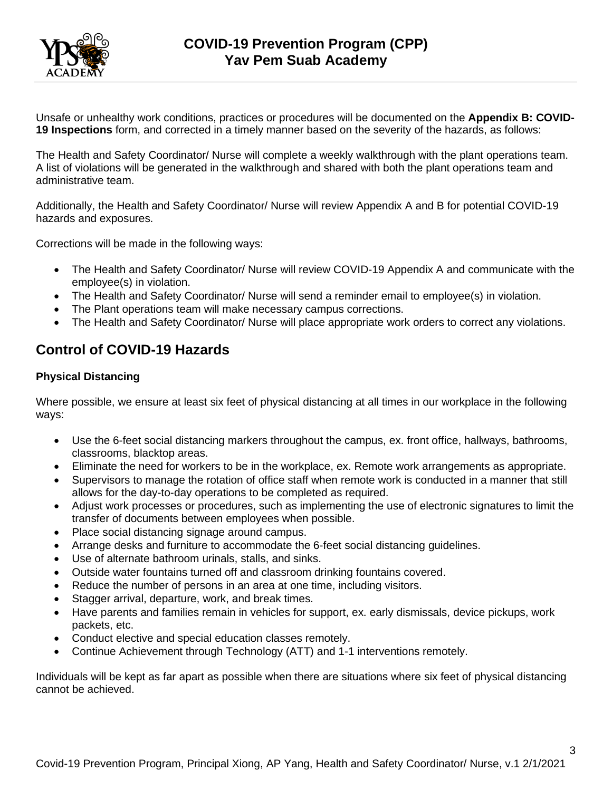

Unsafe or unhealthy work conditions, practices or procedures will be documented on the **Appendix B: COVID-19 Inspections** form, and corrected in a timely manner based on the severity of the hazards, as follows:

The Health and Safety Coordinator/ Nurse will complete a weekly walkthrough with the plant operations team. A list of violations will be generated in the walkthrough and shared with both the plant operations team and administrative team.

Additionally, the Health and Safety Coordinator/ Nurse will review Appendix A and B for potential COVID-19 hazards and exposures.

Corrections will be made in the following ways:

- The Health and Safety Coordinator/ Nurse will review COVID-19 Appendix A and communicate with the employee(s) in violation.
- The Health and Safety Coordinator/ Nurse will send a reminder email to employee(s) in violation.
- The Plant operations team will make necessary campus corrections.
- The Health and Safety Coordinator/ Nurse will place appropriate work orders to correct any violations.

### **Control of COVID-19 Hazards**

#### **Physical Distancing**

Where possible, we ensure at least six feet of physical distancing at all times in our workplace in the following ways:

- Use the 6-feet social distancing markers throughout the campus, ex. front office, hallways, bathrooms, classrooms, blacktop areas.
- Eliminate the need for workers to be in the workplace, ex. Remote work arrangements as appropriate.
- Supervisors to manage the rotation of office staff when remote work is conducted in a manner that still allows for the day-to-day operations to be completed as required.
- Adjust work processes or procedures, such as implementing the use of electronic signatures to limit the transfer of documents between employees when possible.
- Place social distancing signage around campus.
- Arrange desks and furniture to accommodate the 6-feet social distancing guidelines.
- Use of alternate bathroom urinals, stalls, and sinks.
- Outside water fountains turned off and classroom drinking fountains covered.
- Reduce the number of persons in an area at one time, including visitors.
- Stagger arrival, departure, work, and break times.
- Have parents and families remain in vehicles for support, ex. early dismissals, device pickups, work packets, etc.
- Conduct elective and special education classes remotely.
- Continue Achievement through Technology (ATT) and 1-1 interventions remotely.

Individuals will be kept as far apart as possible when there are situations where six feet of physical distancing cannot be achieved.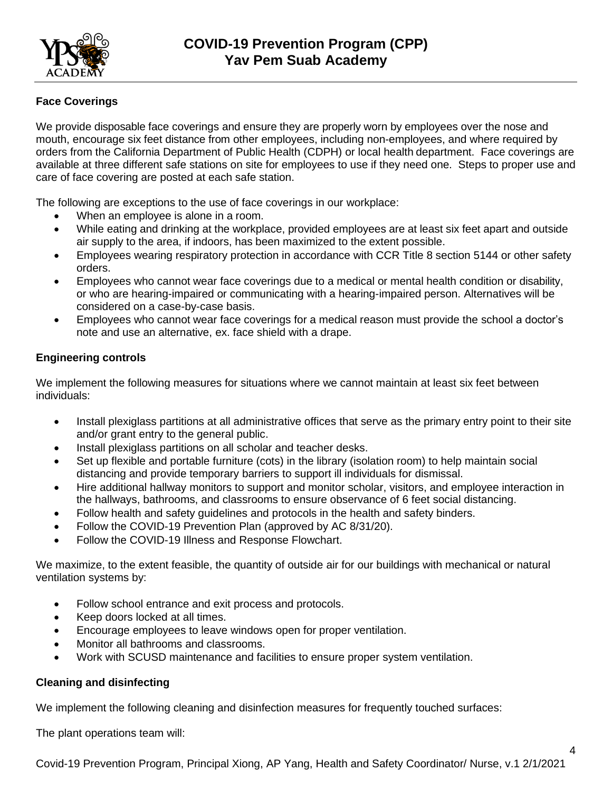

### **Face Coverings**

We provide disposable face coverings and ensure they are properly worn by employees over the nose and mouth, encourage six feet distance from other employees, including non-employees, and where required by orders from the California Department of Public Health (CDPH) or local health department. Face coverings are available at three different safe stations on site for employees to use if they need one. Steps to proper use and care of face covering are posted at each safe station.

The following are exceptions to the use of face coverings in our workplace:

- When an employee is alone in a room.
- While eating and drinking at the workplace, provided employees are at least six feet apart and outside air supply to the area, if indoors, has been maximized to the extent possible.
- Employees wearing respiratory protection in accordance with CCR Title 8 section 5144 or other safety orders.
- Employees who cannot wear face coverings due to a medical or mental health condition or disability, or who are hearing-impaired or communicating with a hearing-impaired person. Alternatives will be considered on a case-by-case basis.
- Employees who cannot wear face coverings for a medical reason must provide the school a doctor's note and use an alternative, ex. face shield with a drape.

### **Engineering controls**

We implement the following measures for situations where we cannot maintain at least six feet between individuals:

- Install plexiglass partitions at all administrative offices that serve as the primary entry point to their site and/or grant entry to the general public.
- Install plexiglass partitions on all scholar and teacher desks.
- Set up flexible and portable furniture (cots) in the library (isolation room) to help maintain social distancing and provide temporary barriers to support ill individuals for dismissal.
- Hire additional hallway monitors to support and monitor scholar, visitors, and employee interaction in the hallways, bathrooms, and classrooms to ensure observance of 6 feet social distancing.
- Follow health and safety guidelines and protocols in the health and safety binders.
- Follow the COVID-19 Prevention Plan (approved by AC 8/31/20).
- Follow the COVID-19 Illness and Response Flowchart.

We maximize, to the extent feasible, the quantity of outside air for our buildings with mechanical or natural ventilation systems by:

- Follow school entrance and exit process and protocols.
- Keep doors locked at all times.
- Encourage employees to leave windows open for proper ventilation.
- Monitor all bathrooms and classrooms.
- Work with SCUSD maintenance and facilities to ensure proper system ventilation.

### **Cleaning and disinfecting**

We implement the following cleaning and disinfection measures for frequently touched surfaces:

The plant operations team will: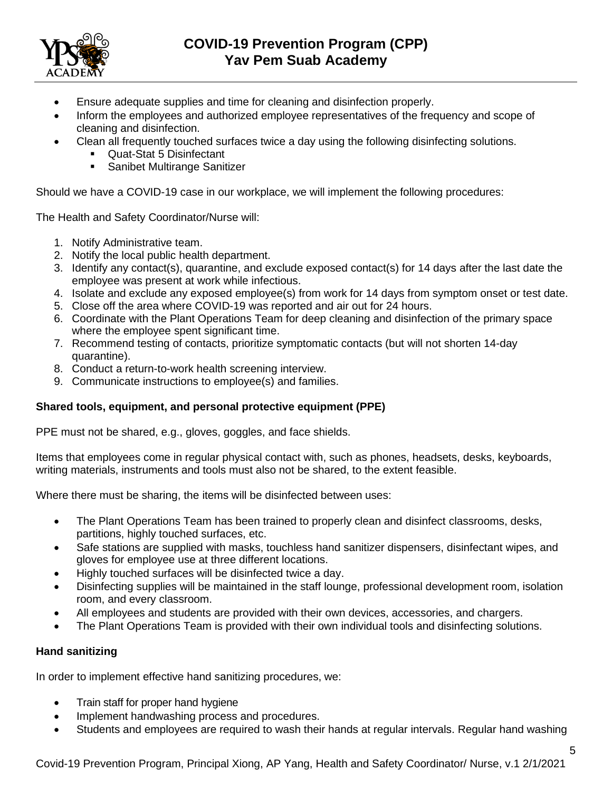

- Ensure adequate supplies and time for cleaning and disinfection properly.
- Inform the employees and authorized employee representatives of the frequency and scope of cleaning and disinfection.
- Clean all frequently touched surfaces twice a day using the following disinfecting solutions.
	- Quat-Stat 5 Disinfectant
	- Sanibet Multirange Sanitizer

Should we have a COVID-19 case in our workplace, we will implement the following procedures:

The Health and Safety Coordinator/Nurse will:

- 1. Notify Administrative team.
- 2. Notify the local public health department.
- 3. Identify any contact(s), quarantine, and exclude exposed contact(s) for 14 days after the last date the employee was present at work while infectious.
- 4. Isolate and exclude any exposed employee(s) from work for 14 days from symptom onset or test date.
- 5. Close off the area where COVID-19 was reported and air out for 24 hours.
- 6. Coordinate with the Plant Operations Team for deep cleaning and disinfection of the primary space where the employee spent significant time.
- 7. Recommend testing of contacts, prioritize symptomatic contacts (but will not shorten 14-day quarantine).
- 8. Conduct a return-to-work health screening interview.
- 9. Communicate instructions to employee(s) and families.

### **Shared tools, equipment, and personal protective equipment (PPE)**

PPE must not be shared, e.g., gloves, goggles, and face shields.

Items that employees come in regular physical contact with, such as phones, headsets, desks, keyboards, writing materials, instruments and tools must also not be shared, to the extent feasible.

Where there must be sharing, the items will be disinfected between uses:

- The Plant Operations Team has been trained to properly clean and disinfect classrooms, desks, partitions, highly touched surfaces, etc.
- Safe stations are supplied with masks, touchless hand sanitizer dispensers, disinfectant wipes, and gloves for employee use at three different locations.
- Highly touched surfaces will be disinfected twice a day.
- Disinfecting supplies will be maintained in the staff lounge, professional development room, isolation room, and every classroom.
- All employees and students are provided with their own devices, accessories, and chargers.
- The Plant Operations Team is provided with their own individual tools and disinfecting solutions.

#### **Hand sanitizing**

In order to implement effective hand sanitizing procedures, we:

- Train staff for proper hand hygiene
- Implement handwashing process and procedures.
- Students and employees are required to wash their hands at regular intervals. Regular hand washing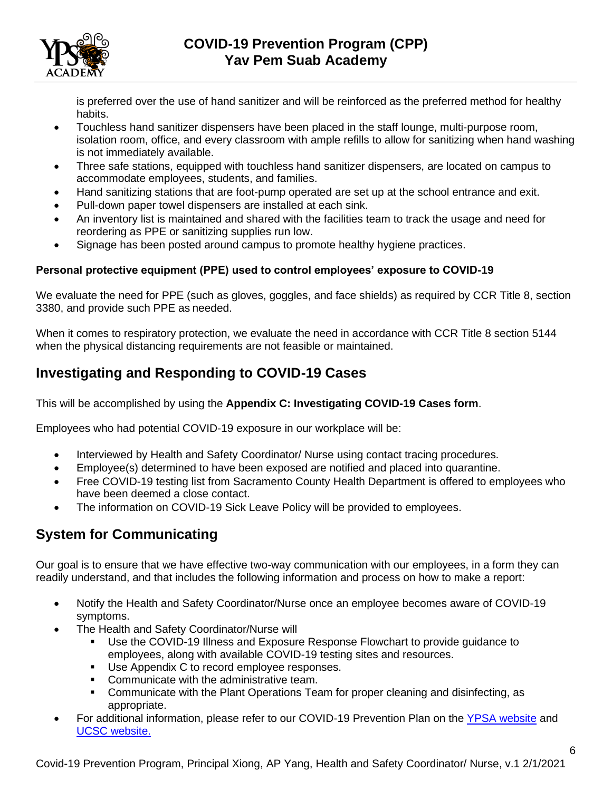

is preferred over the use of hand sanitizer and will be reinforced as the preferred method for healthy habits.

- Touchless hand sanitizer dispensers have been placed in the staff lounge, multi-purpose room, isolation room, office, and every classroom with ample refills to allow for sanitizing when hand washing is not immediately available.
- Three safe stations, equipped with touchless hand sanitizer dispensers, are located on campus to accommodate employees, students, and families.
- Hand sanitizing stations that are foot-pump operated are set up at the school entrance and exit.
- Pull-down paper towel dispensers are installed at each sink.
- An inventory list is maintained and shared with the facilities team to track the usage and need for reordering as PPE or sanitizing supplies run low.
- Signage has been posted around campus to promote healthy hygiene practices.

### **Personal protective equipment (PPE) used to control employees' exposure to COVID-19**

We evaluate the need for PPE (such as gloves, goggles, and face shields) as required by CCR Title 8, section 3380, and provide such PPE as needed.

When it comes to respiratory protection, we evaluate the need in accordance with CCR Title 8 section 5144 when the physical distancing requirements are not feasible or maintained.

## **Investigating and Responding to COVID-19 Cases**

This will be accomplished by using the **Appendix C: Investigating COVID-19 Cases form**.

Employees who had potential COVID-19 exposure in our workplace will be:

- Interviewed by Health and Safety Coordinator/ Nurse using contact tracing procedures.
- Employee(s) determined to have been exposed are notified and placed into quarantine.
- Free COVID-19 testing list from Sacramento County Health Department is offered to employees who have been deemed a close contact.
- The information on COVID-19 Sick Leave Policy will be provided to employees.

## **System for Communicating**

Our goal is to ensure that we have effective two-way communication with our employees, in a form they can readily understand, and that includes the following information and process on how to make a report:

- Notify the Health and Safety Coordinator/Nurse once an employee becomes aware of COVID-19 symptoms.
- The Health and Safety Coordinator/Nurse will
	- Use the COVID-19 Illness and Exposure Response Flowchart to provide quidance to employees, along with available COVID-19 testing sites and resources.
	- **■** Use Appendix C to record employee responses.
	- Communicate with the administrative team.
	- **Communicate with the Plant Operations Team for proper cleaning and disinfecting, as** appropriate.
- For additional information, please refer to our COVID-19 Prevention Plan on the [YPSA website](https://www.ypsacharter.org/) and [UCSC website.](https://urbancsc.org/)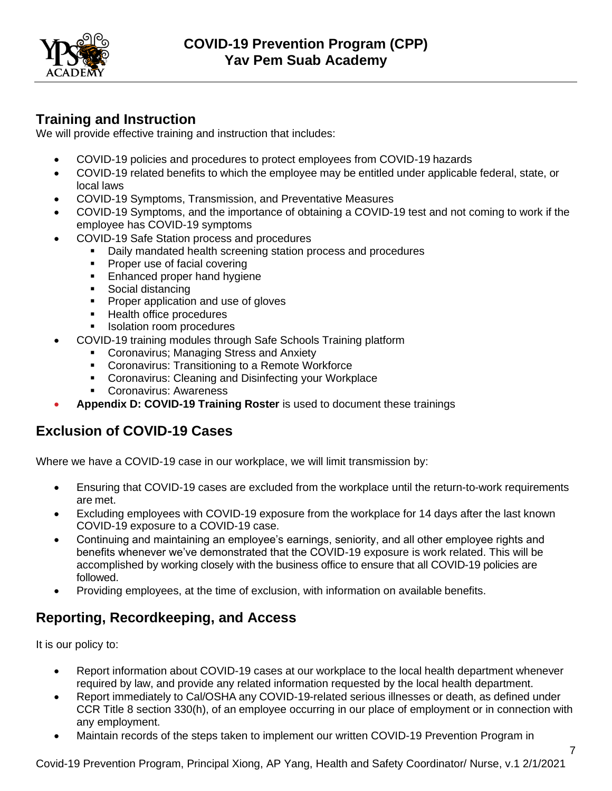

## **Training and Instruction**

We will provide effective training and instruction that includes:

- COVID-19 policies and procedures to protect employees from COVID-19 hazards
- COVID-19 related benefits to which the employee may be entitled under applicable federal, state, or local laws
- COVID-19 Symptoms, Transmission, and Preventative Measures
- COVID-19 Symptoms, and the importance of obtaining a COVID-19 test and not coming to work if the employee has COVID-19 symptoms
- COVID-19 Safe Station process and procedures
	- Daily mandated health screening station process and procedures
	- Proper use of facial covering
	- **Enhanced proper hand hygiene**
	- Social distancing
	- Proper application and use of gloves
	- Health office procedures
	- **■** Isolation room procedures
- COVID-19 training modules through Safe Schools Training platform
	- **Coronavirus; Managing Stress and Anxiety**
	- Coronavirus: Transitioning to a Remote Workforce
	- **Coronavirus: Cleaning and Disinfecting your Workplace**
	- Coronavirus: Awareness
- **Appendix D: COVID-19 Training Roster** is used to document these trainings

## **Exclusion of COVID-19 Cases**

Where we have a COVID-19 case in our workplace, we will limit transmission by:

- Ensuring that COVID-19 cases are excluded from the workplace until the return-to-work requirements are met.
- Excluding employees with COVID-19 exposure from the workplace for 14 days after the last known COVID-19 exposure to a COVID-19 case.
- Continuing and maintaining an employee's earnings, seniority, and all other employee rights and benefits whenever we've demonstrated that the COVID-19 exposure is work related. This will be accomplished by working closely with the business office to ensure that all COVID-19 policies are followed.
- Providing employees, at the time of exclusion, with information on available benefits.

# **Reporting, Recordkeeping, and Access**

It is our policy to:

- Report information about COVID-19 cases at our workplace to the local health department whenever required by law, and provide any related information requested by the local health department.
- Report immediately to Cal/OSHA any COVID-19-related serious illnesses or death, as defined under CCR Title 8 section 330(h), of an employee occurring in our place of employment or in connection with any employment.
- Maintain records of the steps taken to implement our written COVID-19 Prevention Program in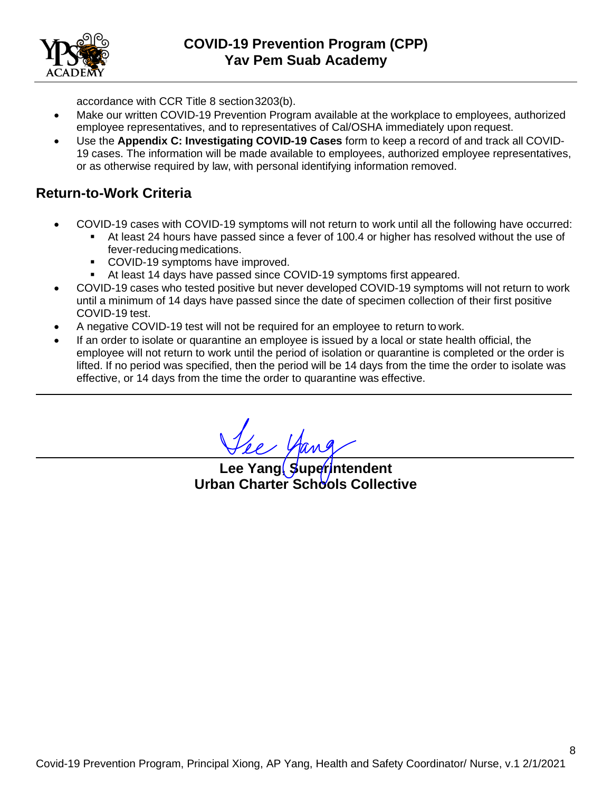

accordance with CCR Title 8 section3203(b).

- Make our written COVID-19 Prevention Program available at the workplace to employees, authorized employee representatives, and to representatives of Cal/OSHA immediately upon request.
- Use the **Appendix C: Investigating COVID-19 Cases** form to keep a record of and track all COVID-19 cases. The information will be made available to employees, authorized employee representatives, or as otherwise required by law, with personal identifying information removed.

## **Return-to-Work Criteria**

- COVID-19 cases with COVID-19 symptoms will not return to work until all the following have occurred:
	- At least 24 hours have passed since a fever of 100.4 or higher has resolved without the use of fever-reducing medications.
	- COVID-19 symptoms have improved.
	- At least 14 days have passed since COVID-19 symptoms first appeared.
- COVID-19 cases who tested positive but never developed COVID-19 symptoms will not return to work until a minimum of 14 days have passed since the date of specimen collection of their first positive COVID-19 test.
- A negative COVID-19 test will not be required for an employee to return to work.
- If an order to isolate or quarantine an employee is issued by a local or state health official, the employee will not return to work until the period of isolation or quarantine is completed or the order is lifted. If no period was specified, then the period will be 14 days from the time the order to isolate was effective, or 14 days from the time the order to quarantine was effective.

**Lee Yang, Superintendent Urban Charter Schools Collective**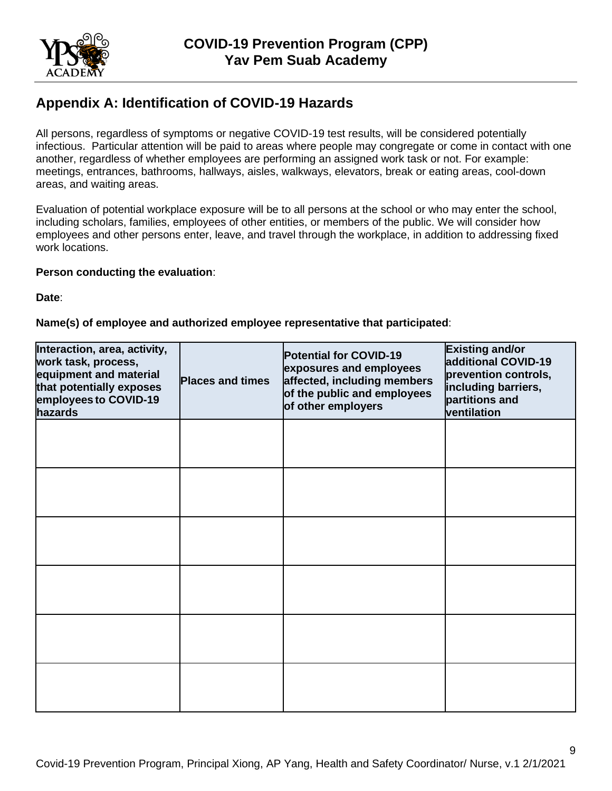

# **Appendix A: Identification of COVID-19 Hazards**

All persons, regardless of symptoms or negative COVID-19 test results, will be considered potentially infectious. Particular attention will be paid to areas where people may congregate or come in contact with one another, regardless of whether employees are performing an assigned work task or not. For example: meetings, entrances, bathrooms, hallways, aisles, walkways, elevators, break or eating areas, cool-down areas, and waiting areas.

Evaluation of potential workplace exposure will be to all persons at the school or who may enter the school, including scholars, families, employees of other entities, or members of the public. We will consider how employees and other persons enter, leave, and travel through the workplace, in addition to addressing fixed work locations.

#### **Person conducting the evaluation**:

**Date**:

#### **Name(s) of employee and authorized employee representative that participated**:

| Interaction, area, activity,<br>work task, process,<br>equipment and material<br>that potentially exposes<br>employees to COVID-19<br>hazards | <b>Places and times</b> | Potential for COVID-19<br>exposures and employees<br>affected, including members<br>of the public and employees<br>of other employers | <b>Existing and/or</b><br>additional COVID-19<br>prevention controls,<br>including barriers,<br>partitions and<br>ventilation |
|-----------------------------------------------------------------------------------------------------------------------------------------------|-------------------------|---------------------------------------------------------------------------------------------------------------------------------------|-------------------------------------------------------------------------------------------------------------------------------|
|                                                                                                                                               |                         |                                                                                                                                       |                                                                                                                               |
|                                                                                                                                               |                         |                                                                                                                                       |                                                                                                                               |
|                                                                                                                                               |                         |                                                                                                                                       |                                                                                                                               |
|                                                                                                                                               |                         |                                                                                                                                       |                                                                                                                               |
|                                                                                                                                               |                         |                                                                                                                                       |                                                                                                                               |
|                                                                                                                                               |                         |                                                                                                                                       |                                                                                                                               |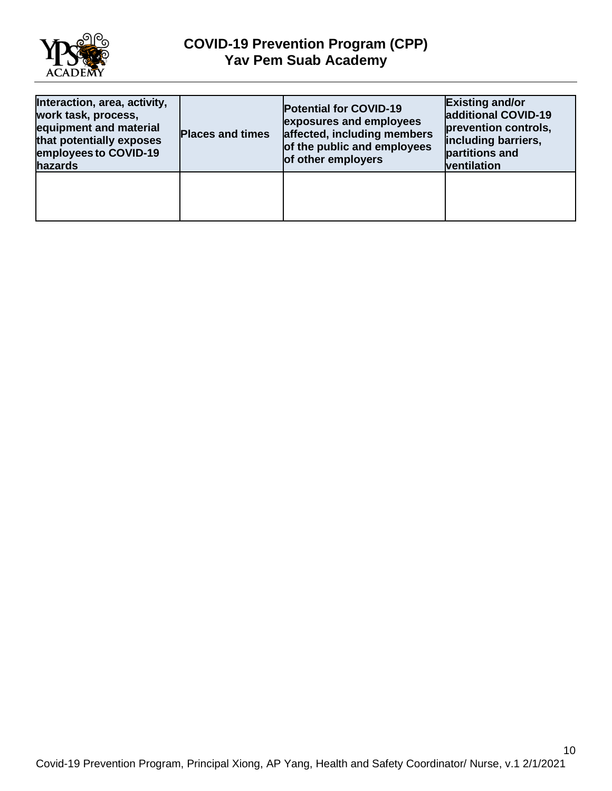

## **COVID-19 Prevention Program (CPP) Yav Pem Suab Academy**

| Interaction, area, activity,<br>work task, process,<br>equipment and material<br>that potentially exposes<br>employees to COVID-19<br>hazards | <b>Places and times</b> | <b>Potential for COVID-19</b><br>exposures and employees<br>affected, including members<br>of the public and employees<br>of other employers | <b>Existing and/or</b><br>additional COVID-19<br>prevention controls,<br>including barriers,<br>partitions and<br>ventilation |
|-----------------------------------------------------------------------------------------------------------------------------------------------|-------------------------|----------------------------------------------------------------------------------------------------------------------------------------------|-------------------------------------------------------------------------------------------------------------------------------|
|                                                                                                                                               |                         |                                                                                                                                              |                                                                                                                               |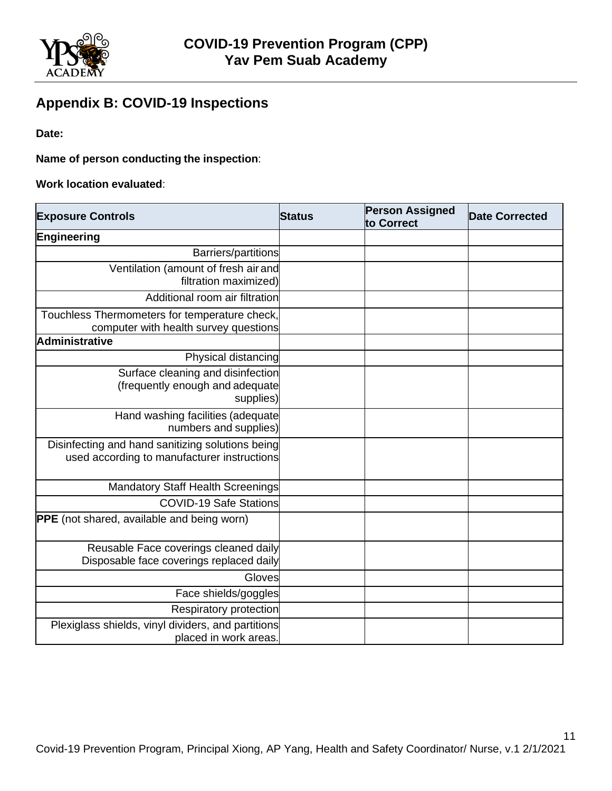

# **Appendix B: COVID-19 Inspections**

**Date:** 

**Name of person conducting the inspection**:

**Work location evaluated**:

| <b>Exposure Controls</b>                                                                        | <b>Status</b> | <b>Person Assigned</b><br>to Correct | <b>Date Corrected</b> |
|-------------------------------------------------------------------------------------------------|---------------|--------------------------------------|-----------------------|
| Engineering                                                                                     |               |                                      |                       |
| Barriers/partitions                                                                             |               |                                      |                       |
| Ventilation (amount of fresh air and<br>filtration maximized)                                   |               |                                      |                       |
| Additional room air filtration                                                                  |               |                                      |                       |
| Touchless Thermometers for temperature check,<br>computer with health survey questions          |               |                                      |                       |
| <b>Administrative</b>                                                                           |               |                                      |                       |
| Physical distancing                                                                             |               |                                      |                       |
| Surface cleaning and disinfection<br>(frequently enough and adequate<br>supplies)               |               |                                      |                       |
| Hand washing facilities (adequate<br>numbers and supplies)                                      |               |                                      |                       |
| Disinfecting and hand sanitizing solutions being<br>used according to manufacturer instructions |               |                                      |                       |
| Mandatory Staff Health Screenings                                                               |               |                                      |                       |
| <b>COVID-19 Safe Stations</b>                                                                   |               |                                      |                       |
| <b>PPE</b> (not shared, available and being worn)                                               |               |                                      |                       |
| Reusable Face coverings cleaned daily<br>Disposable face coverings replaced daily               |               |                                      |                       |
| Gloves                                                                                          |               |                                      |                       |
| Face shields/goggles                                                                            |               |                                      |                       |
| <b>Respiratory protection</b>                                                                   |               |                                      |                       |
| Plexiglass shields, vinyl dividers, and partitions<br>placed in work areas                      |               |                                      |                       |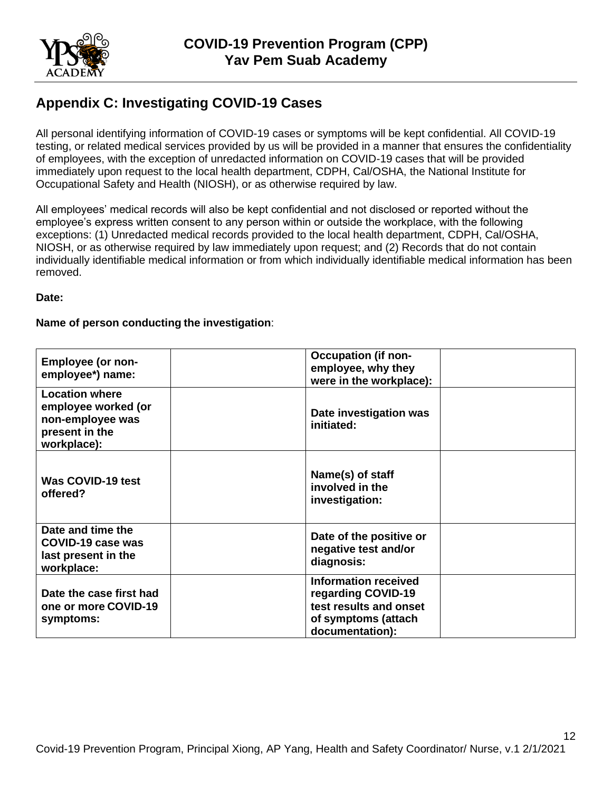

## **Appendix C: Investigating COVID-19 Cases**

All personal identifying information of COVID-19 cases or symptoms will be kept confidential. All COVID-19 testing, or related medical services provided by us will be provided in a manner that ensures the confidentiality of employees, with the exception of unredacted information on COVID-19 cases that will be provided immediately upon request to the local health department, CDPH, Cal/OSHA, the National Institute for Occupational Safety and Health (NIOSH), or as otherwise required by law.

All employees' medical records will also be kept confidential and not disclosed or reported without the employee's express written consent to any person within or outside the workplace, with the following exceptions: (1) Unredacted medical records provided to the local health department, CDPH, Cal/OSHA, NIOSH, or as otherwise required by law immediately upon request; and (2) Records that do not contain individually identifiable medical information or from which individually identifiable medical information has been removed.

**Date:** 

#### **Name of person conducting the investigation**:

| <b>Employee (or non-</b><br>employee*) name:                                                      | <b>Occupation (if non-</b><br>employee, why they<br>were in the workplace):                                           |
|---------------------------------------------------------------------------------------------------|-----------------------------------------------------------------------------------------------------------------------|
| <b>Location where</b><br>employee worked (or<br>non-employee was<br>present in the<br>workplace): | Date investigation was<br>initiated:                                                                                  |
| Was COVID-19 test<br>offered?                                                                     | Name(s) of staff<br>involved in the<br>investigation:                                                                 |
| Date and time the<br>COVID-19 case was<br>last present in the<br>workplace:                       | Date of the positive or<br>negative test and/or<br>diagnosis:                                                         |
| Date the case first had<br>one or more COVID-19<br>symptoms:                                      | <b>Information received</b><br>regarding COVID-19<br>test results and onset<br>of symptoms (attach<br>documentation): |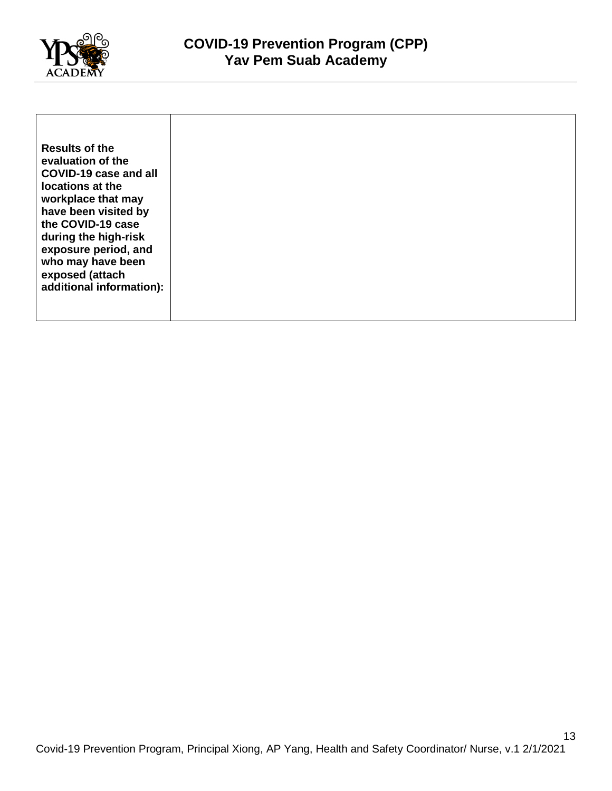

| <b>Results of the</b>                                                                                                                                                                                                                                 |
|-------------------------------------------------------------------------------------------------------------------------------------------------------------------------------------------------------------------------------------------------------|
| evaluation of the<br>COVID-19 case and all<br>locations at the<br>workplace that may<br>have been visited by<br>the COVID-19 case<br>during the high-risk<br>exposure period, and<br>who may have been<br>exposed (attach<br>additional information): |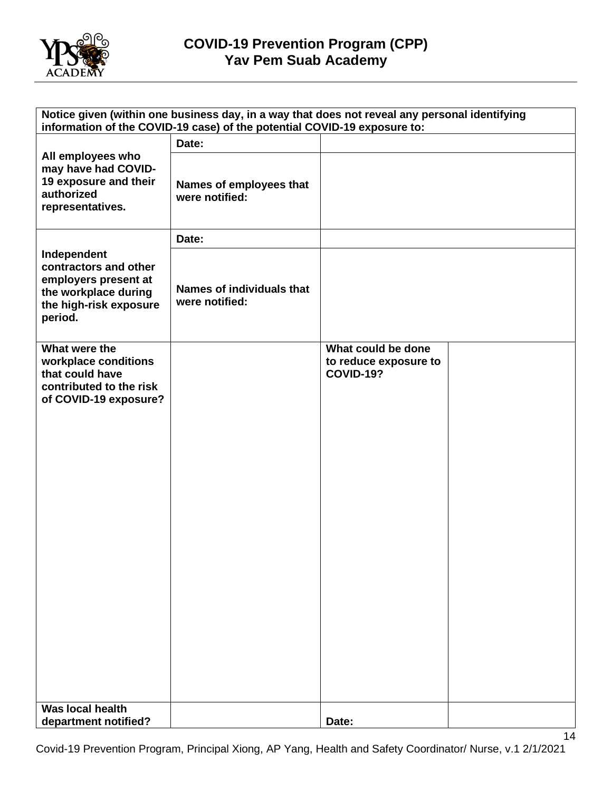

| Notice given (within one business day, in a way that does not reveal any personal identifying<br>information of the COVID-19 case) of the potential COVID-19 exposure to: |                                             |                                                                 |  |
|---------------------------------------------------------------------------------------------------------------------------------------------------------------------------|---------------------------------------------|-----------------------------------------------------------------|--|
|                                                                                                                                                                           | Date:                                       |                                                                 |  |
| All employees who<br>may have had COVID-<br>19 exposure and their<br>authorized<br>representatives.                                                                       | Names of employees that<br>were notified:   |                                                                 |  |
|                                                                                                                                                                           | Date:                                       |                                                                 |  |
| Independent<br>contractors and other<br>employers present at<br>the workplace during<br>the high-risk exposure<br>period.                                                 | Names of individuals that<br>were notified: |                                                                 |  |
| What were the<br>workplace conditions<br>that could have<br>contributed to the risk<br>of COVID-19 exposure?                                                              |                                             | What could be done<br>to reduce exposure to<br><b>COVID-19?</b> |  |
| <b>Was local health</b>                                                                                                                                                   |                                             |                                                                 |  |
| department notified?                                                                                                                                                      |                                             | Date:                                                           |  |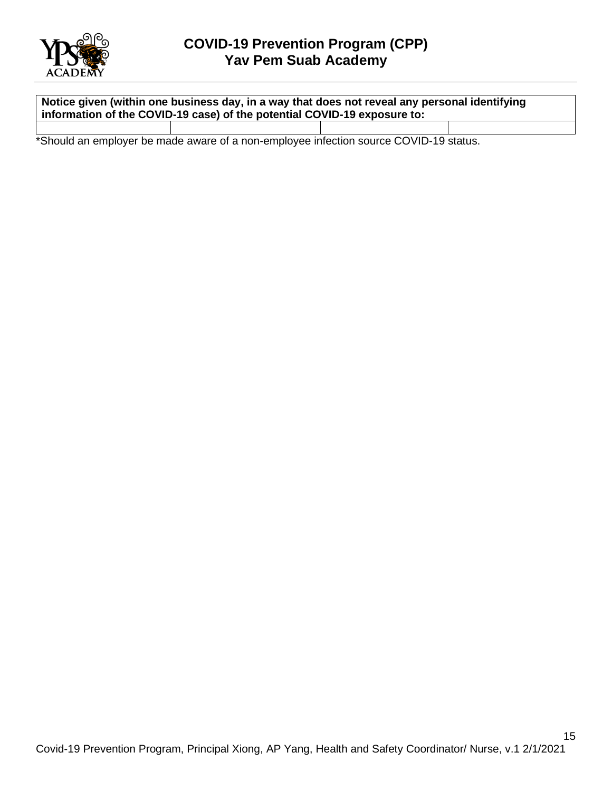

**Notice given (within one business day, in a way that does not reveal any personal identifying information of the COVID-19 case) of the potential COVID-19 exposure to:**

\*Should an employer be made aware of a non-employee infection source COVID-19 status.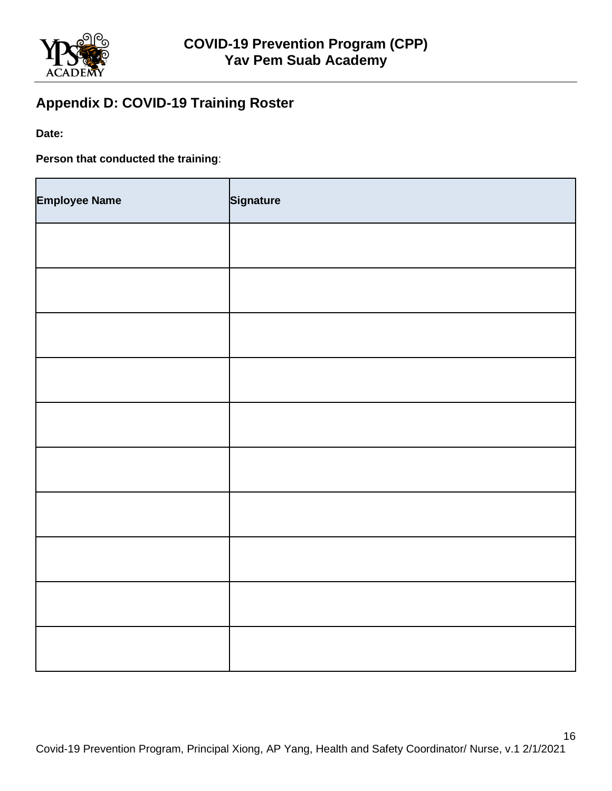

# **Appendix D: COVID-19 Training Roster**

**Date:**

**Person that conducted the training**:

| <b>Employee Name</b> | Signature |
|----------------------|-----------|
|                      |           |
|                      |           |
|                      |           |
|                      |           |
|                      |           |
|                      |           |
|                      |           |
|                      |           |
|                      |           |
|                      |           |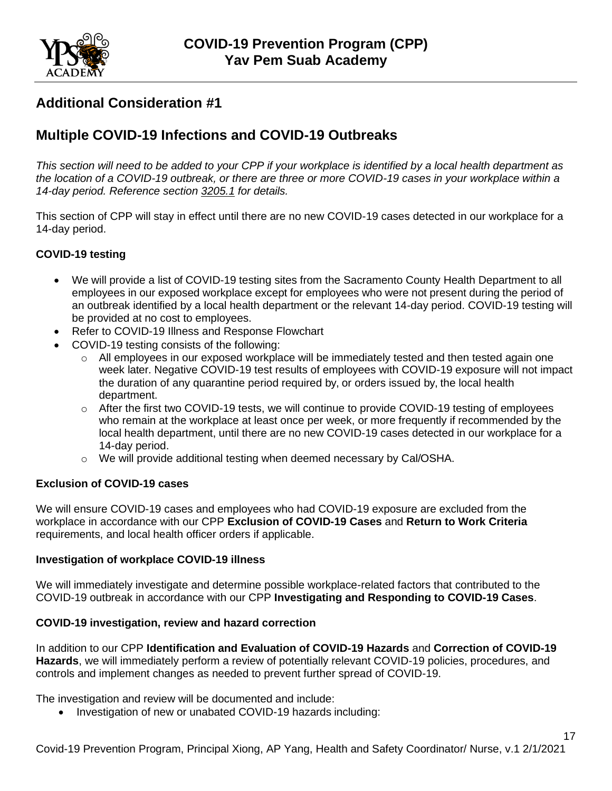

## <span id="page-16-0"></span>**Additional Consideration #1**

## **Multiple COVID-19 Infections and COVID-19 Outbreaks**

*This section will need to be added to your CPP if your workplace is identified by a local health department as the location of a COVID-19 outbreak, or there are three or more COVID-19 cases in your workplace within a 14-day period. Reference section [3205.1](https://www.dir.ca.gov/title8/3205_1.html) for details.*

This section of CPP will stay in effect until there are no new COVID-19 cases detected in our workplace for a 14-day period.

#### **COVID-19 testing**

- We will provide a list of COVID-19 testing sites from the Sacramento County Health Department to all employees in our exposed workplace except for employees who were not present during the period of an outbreak identified by a local health department or the relevant 14-day period. COVID-19 testing will be provided at no cost to employees.
- Refer to COVID-19 Illness and Response Flowchart
- COVID-19 testing consists of the following:
	- o All employees in our exposed workplace will be immediately tested and then tested again one week later. Negative COVID-19 test results of employees with COVID-19 exposure will not impact the duration of any quarantine period required by, or orders issued by, the local health department.
	- $\circ$  After the first two COVID-19 tests, we will continue to provide COVID-19 testing of employees who remain at the workplace at least once per week, or more frequently if recommended by the local health department, until there are no new COVID-19 cases detected in our workplace for a 14-day period.
	- o We will provide additional testing when deemed necessary by Cal/OSHA.

#### **Exclusion of COVID-19 cases**

We will ensure COVID-19 cases and employees who had COVID-19 exposure are excluded from the workplace in accordance with our CPP **Exclusion of COVID-19 Cases** and **Return to Work Criteria**  requirements, and local health officer orders if applicable.

#### **Investigation of workplace COVID-19 illness**

We will immediately investigate and determine possible workplace-related factors that contributed to the COVID-19 outbreak in accordance with our CPP **Investigating and Responding to COVID-19 Cases**.

#### **COVID-19 investigation, review and hazard correction**

In addition to our CPP **Identification and Evaluation of COVID-19 Hazards** and **Correction of COVID-19 Hazards**, we will immediately perform a review of potentially relevant COVID-19 policies, procedures, and controls and implement changes as needed to prevent further spread of COVID-19.

The investigation and review will be documented and include:

• Investigation of new or unabated COVID-19 hazards including:

17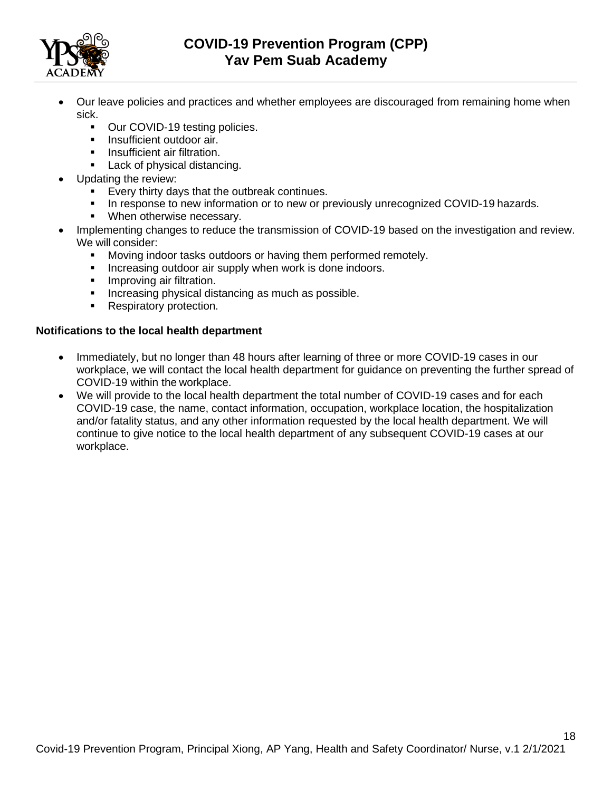

- Our leave policies and practices and whether employees are discouraged from remaining home when sick.
	- Our COVID-19 testing policies.
	- **■** Insufficient outdoor air.
	- Insufficient air filtration.
	- Lack of physical distancing.
- Updating the review:
	- Every thirty days that the outbreak continues.
	- In response to new information or to new or previously unrecognized COVID-19 hazards.
	- When otherwise necessary.
- Implementing changes to reduce the transmission of COVID-19 based on the investigation and review. We will consider:
	- **■** Moving indoor tasks outdoors or having them performed remotely.
	- **EXEDENT** Increasing outdoor air supply when work is done indoors.
	- **■** Improving air filtration.
	- **•** Increasing physical distancing as much as possible.
	- Respiratory protection.

#### **Notifications to the local health department**

- Immediately, but no longer than 48 hours after learning of three or more COVID-19 cases in our workplace, we will contact the local health department for guidance on preventing the further spread of COVID-19 within the workplace.
- We will provide to the local health department the total number of COVID-19 cases and for each COVID-19 case, the name, contact information, occupation, workplace location, the hospitalization and/or fatality status, and any other information requested by the local health department. We will continue to give notice to the local health department of any subsequent COVID-19 cases at our workplace.